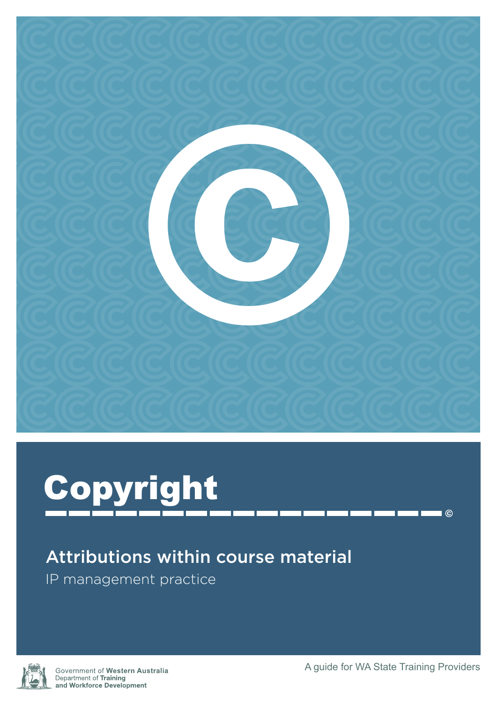



## Attributions within course material

IP management practice



Government of Western Australia Department of Training and Workforce Development

 $\blacksquare$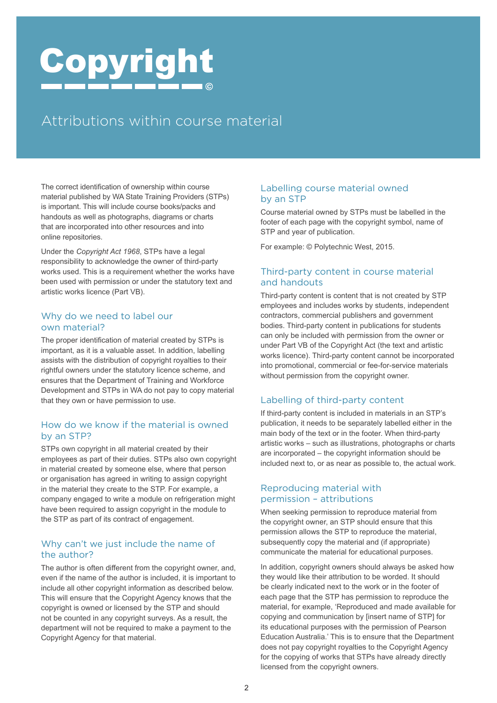# Copyright

## Attributions within course material

The correct identification of ownership within course material published by WA State Training Providers (STPs) is important. This will include course books/packs and handouts as well as photographs, diagrams or charts that are incorporated into other resources and into online repositories.

Under the *Copyright Act 1968*, STPs have a legal responsibility to acknowledge the owner of third-party works used. This is a requirement whether the works have been used with permission or under the statutory text and artistic works licence (Part VB).

#### Why do we need to label our own material?

The proper identification of material created by STPs is important, as it is a valuable asset. In addition, labelling assists with the distribution of copyright royalties to their rightful owners under the statutory licence scheme, and ensures that the Department of Training and Workforce Development and STPs in WA do not pay to copy material that they own or have permission to use.

#### How do we know if the material is owned by an STP?

STPs own copyright in all material created by their employees as part of their duties. STPs also own copyright in material created by someone else, where that person or organisation has agreed in writing to assign copyright in the material they create to the STP. For example, a company engaged to write a module on refrigeration might have been required to assign copyright in the module to the STP as part of its contract of engagement.

#### Why can't we just include the name of the author?

The author is often different from the copyright owner, and, even if the name of the author is included, it is important to include all other copyright information as described below. This will ensure that the Copyright Agency knows that the copyright is owned or licensed by the STP and should not be counted in any copyright surveys. As a result, the department will not be required to make a payment to the Copyright Agency for that material.

#### Labelling course material owned by an STP

Course material owned by STPs must be labelled in the footer of each page with the copyright symbol, name of STP and year of publication.

For example: © Polytechnic West, 2015.

#### Third-party content in course material and handouts

Third-party content is content that is not created by STP employees and includes works by students, independent contractors, commercial publishers and government bodies. Third-party content in publications for students can only be included with permission from the owner or under Part VB of the Copyright Act (the text and artistic works licence). Third-party content cannot be incorporated into promotional, commercial or fee-for-service materials without permission from the copyright owner.

#### Labelling of third-party content

If third-party content is included in materials in an STP's publication, it needs to be separately labelled either in the main body of the text or in the footer. When third-party artistic works – such as illustrations, photographs or charts are incorporated – the copyright information should be included next to, or as near as possible to, the actual work.

#### Reproducing material with permission – attributions

When seeking permission to reproduce material from the copyright owner, an STP should ensure that this permission allows the STP to reproduce the material, subsequently copy the material and (if appropriate) communicate the material for educational purposes.

In addition, copyright owners should always be asked how they would like their attribution to be worded. It should be clearly indicated next to the work or in the footer of each page that the STP has permission to reproduce the material, for example, 'Reproduced and made available for copying and communication by [insert name of STP] for its educational purposes with the permission of Pearson Education Australia.' This is to ensure that the Department does not pay copyright royalties to the Copyright Agency for the copying of works that STPs have already directly licensed from the copyright owners.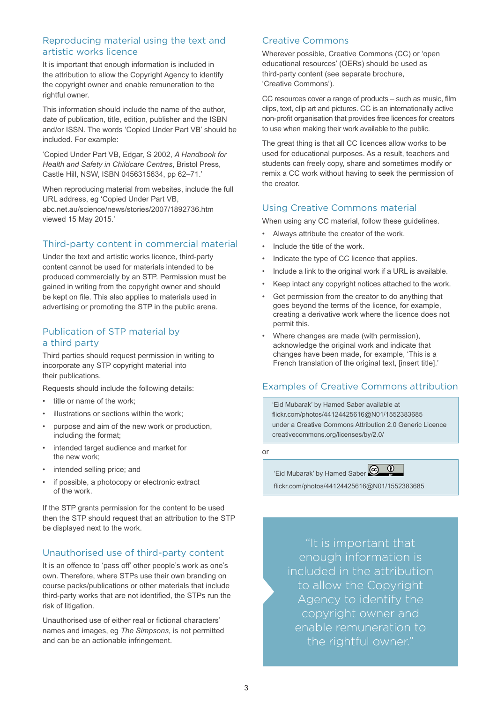#### Reproducing material using the text and artistic works licence

It is important that enough information is included in the attribution to allow the Copyright Agency to identify the copyright owner and enable remuneration to the rightful owner.

This information should include the name of the author, date of publication, title, edition, publisher and the ISBN and/or ISSN. The words 'Copied Under Part VB' should be included. For example:

'Copied Under Part VB, Edgar, S 2002, *A Handbook for Health and Safety in Childcare Centres*, Bristol Press, Castle Hill, NSW, ISBN 0456315634, pp 62–71.'

When reproducing material from websites, include the full URL address, eg 'Copied Under Part VB, [abc.net.au/science/news/stories/2007/1892736.htm](http://abc.net.au/science/news/stories/2007/1892736.htm) viewed 15 May 2015.'

#### Third-party content in commercial material

Under the text and artistic works licence, third-party content cannot be used for materials intended to be produced commercially by an STP. Permission must be gained in writing from the copyright owner and should be kept on file. This also applies to materials used in advertising or promoting the STP in the public arena.

#### Publication of STP material by a third party

Third parties should request permission in writing to incorporate any STP copyright material into their publications.

Requests should include the following details:

- title or name of the work:
- illustrations or sections within the work;
- purpose and aim of the new work or production, including the format;
- intended target audience and market for the new work;
- intended selling price; and
- if possible, a photocopy or electronic extract of the work.

If the STP grants permission for the content to be used then the STP should request that an attribution to the STP be displayed next to the work.

#### Unauthorised use of third-party content

It is an offence to 'pass off' other people's work as one's own. Therefore, where STPs use their own branding on course packs/publications or other materials that include third-party works that are not identified, the STPs run the risk of litigation.

Unauthorised use of either real or fictional characters' names and images, eg *The Simpsons*, is not permitted and can be an actionable infringement.

#### Creative Commons

Wherever possible, Creative Commons (CC) or 'open educational resources' (OERs) should be used as third-party content (see separate brochure, 'Creative Commons').

CC resources cover a range of products – such as music, film clips, text, clip art and pictures. CC is an internationally active non-profit organisation that provides free licences for creators to use when making their work available to the public.

The great thing is that all CC licences allow works to be used for educational purposes. As a result, teachers and students can freely copy, share and sometimes modify or remix a CC work without having to seek the permission of the creator.

#### Using Creative Commons material

When using any CC material, follow these guidelines.

- Always attribute the creator of the work.
- Include the title of the work.
- Indicate the type of CC licence that applies.
- Include a link to the original work if a URL is available.
- Keep intact any copyright notices attached to the work.
- Get permission from the creator to do anything that goes beyond the terms of the licence, for example, creating a derivative work where the licence does not permit this.
- Where changes are made (with permission), acknowledge the original work and indicate that changes have been made, for example, 'This is a French translation of the original text. [insert title].'

#### Examples of Creative Commons attribution

'Eid Mubarak' by Hamed Saber available at [flickr.com/photos/44124425616@N01/1552383685](http://flickr.com/photos/44124425616@N01/1552383685) under a Creative Commons Attribution 2.0 Generic Licence [creativecommons.org/licenses/by/2.0/](http://creativecommons.org/licenses/by/2.0/)

or



[flickr.com/photos/44124425616@N01/1552383685](http://flickr.com/photos/44124425616@N01/1552383685)

"It is important that enough information is included in the attribution to allow the Copyright Agency to identify the copyright owner and enable remuneration to the rightful owner."